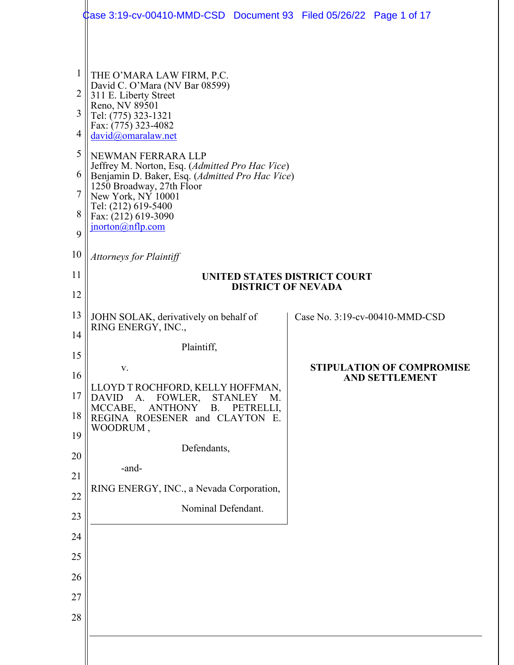|                | Case 3:19-cv-00410-MMD-CSD Document 93    Filed 05/26/22    Page 1 of 17                                     |  |                                  |  |  |  |
|----------------|--------------------------------------------------------------------------------------------------------------|--|----------------------------------|--|--|--|
|                |                                                                                                              |  |                                  |  |  |  |
| $\mathbf{1}$   | THE O'MARA LAW FIRM, P.C.                                                                                    |  |                                  |  |  |  |
| $\overline{2}$ | David C. O'Mara (NV Bar 08599)<br>311 E. Liberty Street<br>Reno, NV 89501                                    |  |                                  |  |  |  |
| 3              | Tel: (775) 323-1321<br>Fax: (775) 323-4082                                                                   |  |                                  |  |  |  |
| 4              | david@omaralaw.net                                                                                           |  |                                  |  |  |  |
| 5              | NEWMAN FERRARA LLP<br>Jeffrey M. Norton, Esq. (Admitted Pro Hac Vice)                                        |  |                                  |  |  |  |
| 6<br>7         | Benjamin D. Baker, Esq. (Admitted Pro Hac Vice)<br>1250 Broadway, 27th Floor                                 |  |                                  |  |  |  |
| 8              | New York, NY 10001<br>Tel: (212) 619-5400<br>Fax: (212) 619-3090                                             |  |                                  |  |  |  |
| 9              | $\overline{\text{proton}(a)}$ nflp.com                                                                       |  |                                  |  |  |  |
| 10             | <b>Attorneys for Plaintiff</b>                                                                               |  |                                  |  |  |  |
| 11             | UNITED STATES DISTRICT COURT<br><b>DISTRICT OF NEVADA</b>                                                    |  |                                  |  |  |  |
| 12             |                                                                                                              |  |                                  |  |  |  |
| 13             | JOHN SOLAK, derivatively on behalf of<br>RING ENERGY, INC.,                                                  |  | Case No. 3:19-cv-00410-MMD-CSD   |  |  |  |
| 14             | Plaintiff,                                                                                                   |  |                                  |  |  |  |
| 15             | V.                                                                                                           |  | <b>STIPULATION OF COMPROMISE</b> |  |  |  |
| 16             | LLOYD T ROCHFORD, KELLY HOFFMAN,                                                                             |  | <b>AND SETTLEMENT</b>            |  |  |  |
| 17<br>18       | FOWLER,<br><b>DAVID</b><br>A.<br><b>STANLEY</b><br>M.<br>MCCABE,<br><b>ANTHONY</b><br>PETRELLI,<br><b>B.</b> |  |                                  |  |  |  |
| 19             | REGINA ROESENER and CLAYTON E.<br>WOODRUM,                                                                   |  |                                  |  |  |  |
| 20             | Defendants,                                                                                                  |  |                                  |  |  |  |
| 21             | -and-                                                                                                        |  |                                  |  |  |  |
| 22             | RING ENERGY, INC., a Nevada Corporation,                                                                     |  |                                  |  |  |  |
| 23             | Nominal Defendant.                                                                                           |  |                                  |  |  |  |
| 24             |                                                                                                              |  |                                  |  |  |  |
| 25             |                                                                                                              |  |                                  |  |  |  |
| 26             |                                                                                                              |  |                                  |  |  |  |
| 27             |                                                                                                              |  |                                  |  |  |  |
| 28             |                                                                                                              |  |                                  |  |  |  |
|                |                                                                                                              |  |                                  |  |  |  |
|                |                                                                                                              |  |                                  |  |  |  |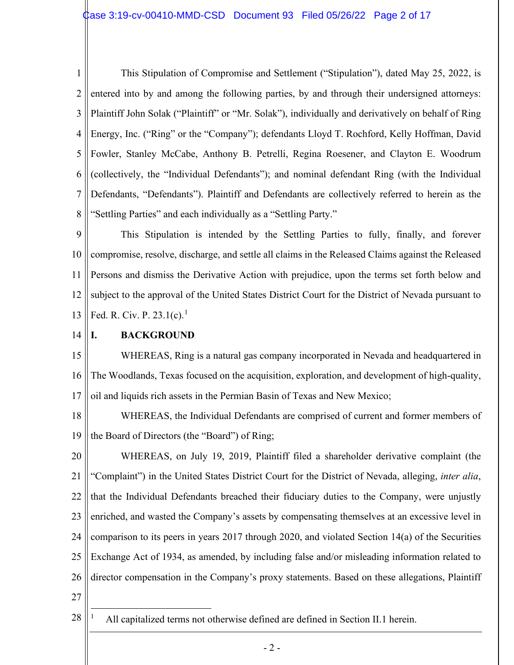1 2 3 4 5 6 7 8 This Stipulation of Compromise and Settlement ("Stipulation"), dated May 25, 2022, is entered into by and among the following parties, by and through their undersigned attorneys: Plaintiff John Solak ("Plaintiff" or "Mr. Solak"), individually and derivatively on behalf of Ring Energy, Inc. ("Ring" or the "Company"); defendants Lloyd T. Rochford, Kelly Hoffman, David Fowler, Stanley McCabe, Anthony B. Petrelli, Regina Roesener, and Clayton E. Woodrum (collectively, the "Individual Defendants"); and nominal defendant Ring (with the Individual Defendants, "Defendants"). Plaintiff and Defendants are collectively referred to herein as the "Settling Parties" and each individually as a "Settling Party."

9 10 11 12 13 This Stipulation is intended by the Settling Parties to fully, finally, and forever compromise, resolve, discharge, and settle all claims in the Released Claims against the Released Persons and dismiss the Derivative Action with prejudice, upon the terms set forth below and subject to the approval of the United States District Court for the District of Nevada pursuant to Fed. R. Civ. P.  $23.1(c)$  $23.1(c)$  $23.1(c)$ .<sup>1</sup>

14 **I. BACKGROUND**

15 16 17 WHEREAS, Ring is a natural gas company incorporated in Nevada and headquartered in The Woodlands, Texas focused on the acquisition, exploration, and development of high-quality, oil and liquids rich assets in the Permian Basin of Texas and New Mexico;

18 19 WHEREAS, the Individual Defendants are comprised of current and former members of the Board of Directors (the "Board") of Ring;

20 21 22 23 24 25 26 27 WHEREAS, on July 19, 2019, Plaintiff filed a shareholder derivative complaint (the "Complaint") in the United States District Court for the District of Nevada, alleging, *inter alia*, that the Individual Defendants breached their fiduciary duties to the Company, were unjustly enriched, and wasted the Company's assets by compensating themselves at an excessive level in comparison to its peers in years 2017 through 2020, and violated Section 14(a) of the Securities Exchange Act of 1934, as amended, by including false and/or misleading information related to director compensation in the Company's proxy statements. Based on these allegations, Plaintiff

<span id="page-1-0"></span>28

All capitalized terms not otherwise defined are defined in Section II.1 herein.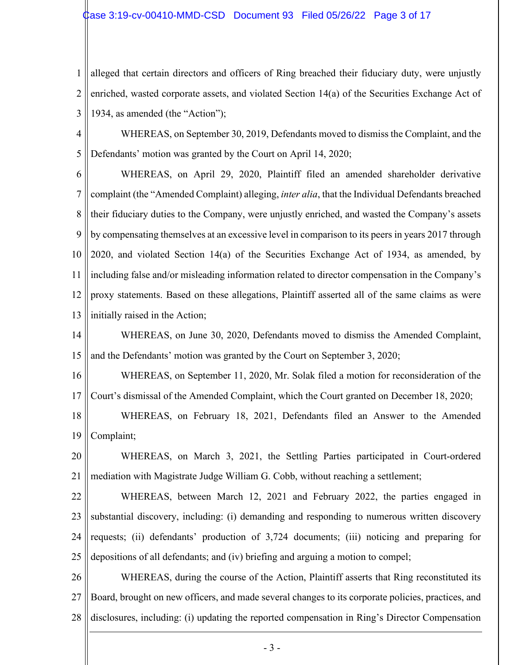1 2 3 alleged that certain directors and officers of Ring breached their fiduciary duty, were unjustly enriched, wasted corporate assets, and violated Section 14(a) of the Securities Exchange Act of 1934, as amended (the "Action");

4 5 WHEREAS, on September 30, 2019, Defendants moved to dismiss the Complaint, and the Defendants' motion was granted by the Court on April 14, 2020;

6 7 8 9 10 11 12 13 WHEREAS, on April 29, 2020, Plaintiff filed an amended shareholder derivative complaint (the "Amended Complaint) alleging, *inter alia*, that the Individual Defendants breached their fiduciary duties to the Company, were unjustly enriched, and wasted the Company's assets by compensating themselves at an excessive level in comparison to its peers in years 2017 through 2020, and violated Section 14(a) of the Securities Exchange Act of 1934, as amended, by including false and/or misleading information related to director compensation in the Company's proxy statements. Based on these allegations, Plaintiff asserted all of the same claims as were initially raised in the Action;

14 15 WHEREAS, on June 30, 2020, Defendants moved to dismiss the Amended Complaint, and the Defendants' motion was granted by the Court on September 3, 2020;

16 17 WHEREAS, on September 11, 2020, Mr. Solak filed a motion for reconsideration of the Court's dismissal of the Amended Complaint, which the Court granted on December 18, 2020;

18 19 WHEREAS, on February 18, 2021, Defendants filed an Answer to the Amended Complaint;

20 21 WHEREAS, on March 3, 2021, the Settling Parties participated in Court-ordered mediation with Magistrate Judge William G. Cobb, without reaching a settlement;

22 23 24 25 WHEREAS, between March 12, 2021 and February 2022, the parties engaged in substantial discovery, including: (i) demanding and responding to numerous written discovery requests; (ii) defendants' production of 3,724 documents; (iii) noticing and preparing for depositions of all defendants; and (iv) briefing and arguing a motion to compel;

26 27 28 WHEREAS, during the course of the Action, Plaintiff asserts that Ring reconstituted its Board, brought on new officers, and made several changes to its corporate policies, practices, and disclosures, including: (i) updating the reported compensation in Ring's Director Compensation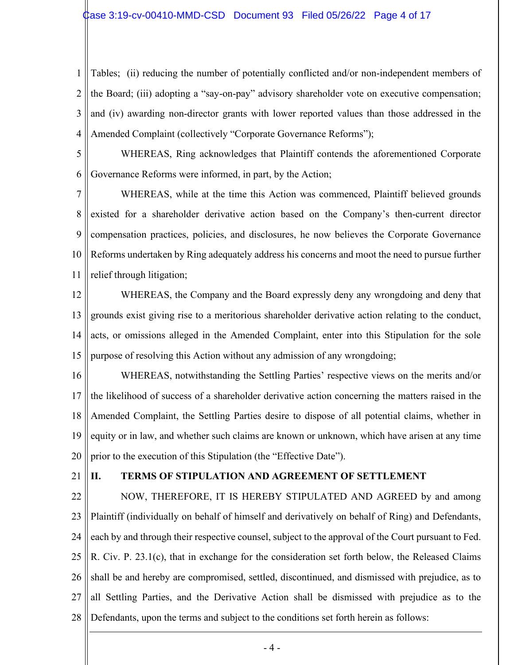1 2 3 4 Tables; (ii) reducing the number of potentially conflicted and/or non-independent members of the Board; (iii) adopting a "say-on-pay" advisory shareholder vote on executive compensation; and (iv) awarding non-director grants with lower reported values than those addressed in the Amended Complaint (collectively "Corporate Governance Reforms");

5

6

WHEREAS, Ring acknowledges that Plaintiff contends the aforementioned Corporate Governance Reforms were informed, in part, by the Action;

7 8 9 10 11 WHEREAS, while at the time this Action was commenced, Plaintiff believed grounds existed for a shareholder derivative action based on the Company's then-current director compensation practices, policies, and disclosures, he now believes the Corporate Governance Reforms undertaken by Ring adequately address his concerns and moot the need to pursue further relief through litigation;

12 13 14 15 WHEREAS, the Company and the Board expressly deny any wrongdoing and deny that grounds exist giving rise to a meritorious shareholder derivative action relating to the conduct, acts, or omissions alleged in the Amended Complaint, enter into this Stipulation for the sole purpose of resolving this Action without any admission of any wrongdoing;

16 17 18 19 20 WHEREAS, notwithstanding the Settling Parties' respective views on the merits and/or the likelihood of success of a shareholder derivative action concerning the matters raised in the Amended Complaint, the Settling Parties desire to dispose of all potential claims, whether in equity or in law, and whether such claims are known or unknown, which have arisen at any time prior to the execution of this Stipulation (the "Effective Date").

21

## **II. TERMS OF STIPULATION AND AGREEMENT OF SETTLEMENT**

22 23 24 25 26 27 28 NOW, THEREFORE, IT IS HEREBY STIPULATED AND AGREED by and among Plaintiff (individually on behalf of himself and derivatively on behalf of Ring) and Defendants, each by and through their respective counsel, subject to the approval of the Court pursuant to Fed. R. Civ. P. 23.1(c), that in exchange for the consideration set forth below, the Released Claims shall be and hereby are compromised, settled, discontinued, and dismissed with prejudice, as to all Settling Parties, and the Derivative Action shall be dismissed with prejudice as to the Defendants, upon the terms and subject to the conditions set forth herein as follows: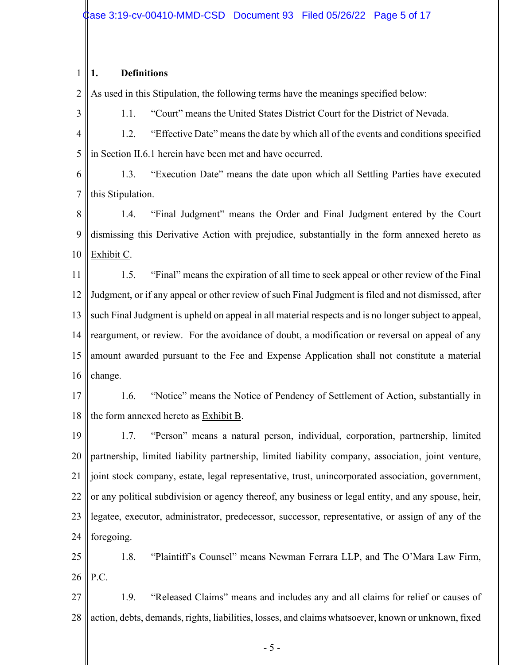#### 1 **1. Definitions**

3

2 As used in this Stipulation, the following terms have the meanings specified below:

1.1. "Court" means the United States District Court for the District of Nevada.

4 5 1.2. "Effective Date" means the date by which all of the events and conditions specified in Section II.6.1 herein have been met and have occurred.

6 7 1.3. "Execution Date" means the date upon which all Settling Parties have executed this Stipulation.

8 9 10 1.4. "Final Judgment" means the Order and Final Judgment entered by the Court dismissing this Derivative Action with prejudice, substantially in the form annexed hereto as Exhibit C.

11 12 13 14 15 16 1.5. "Final" means the expiration of all time to seek appeal or other review of the Final Judgment, or if any appeal or other review of such Final Judgment is filed and not dismissed, after such Final Judgment is upheld on appeal in all material respects and is no longer subject to appeal, reargument, or review. For the avoidance of doubt, a modification or reversal on appeal of any amount awarded pursuant to the Fee and Expense Application shall not constitute a material change.

17 18 1.6. "Notice" means the Notice of Pendency of Settlement of Action, substantially in the form annexed hereto as Exhibit B.

19 20 21 22 23 24 1.7. "Person" means a natural person, individual, corporation, partnership, limited partnership, limited liability partnership, limited liability company, association, joint venture, joint stock company, estate, legal representative, trust, unincorporated association, government, or any political subdivision or agency thereof, any business or legal entity, and any spouse, heir, legatee, executor, administrator, predecessor, successor, representative, or assign of any of the foregoing.

25 26 1.8. "Plaintiff's Counsel" means Newman Ferrara LLP, and The O'Mara Law Firm, P.C.

27 28 1.9. "Released Claims" means and includes any and all claims for relief or causes of action, debts, demands, rights, liabilities, losses, and claims whatsoever, known or unknown, fixed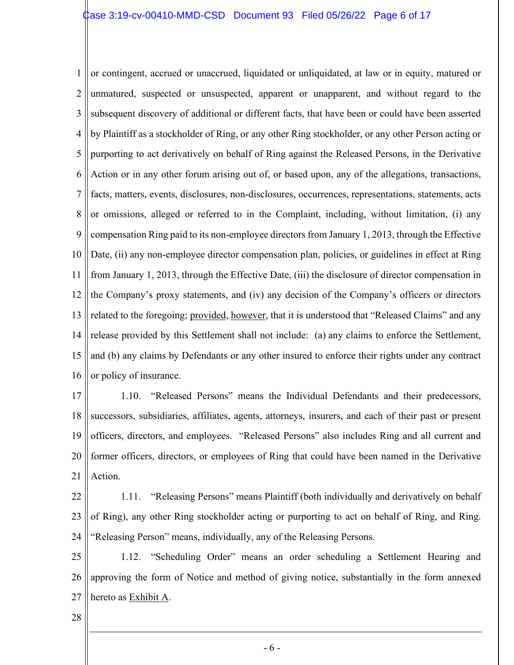1 2 3 4 5 6 7 8 9 10 11 12 13 14 15 16 or contingent, accrued or unaccrued, liquidated or unliquidated, at law or in equity, matured or unmatured, suspected or unsuspected, apparent or unapparent, and without regard to the subsequent discovery of additional or different facts, that have been or could have been asserted by Plaintiff as a stockholder of Ring, or any other Ring stockholder, or any other Person acting or purporting to act derivatively on behalf of Ring against the Released Persons, in the Derivative Action or in any other forum arising out of, or based upon, any of the allegations, transactions, facts, matters, events, disclosures, non-disclosures, occurrences, representations, statements, acts or omissions, alleged or referred to in the Complaint, including, without limitation, (i) any compensation Ring paid to its non-employee directors from January 1, 2013, through the Effective Date, (ii) any non-employee director compensation plan, policies, or guidelines in effect at Ring from January 1, 2013, through the Effective Date, (iii) the disclosure of director compensation in the Company's proxy statements, and (iv) any decision of the Company's officers or directors related to the foregoing; provided, however, that it is understood that "Released Claims" and any release provided by this Settlement shall not include: (a) any claims to enforce the Settlement, and (b) any claims by Defendants or any other insured to enforce their rights under any contract or policy of insurance.

17 18 19 20 21 1.10. "Released Persons" means the Individual Defendants and their predecessors, successors, subsidiaries, affiliates, agents, attorneys, insurers, and each of their past or present officers, directors, and employees. "Released Persons" also includes Ring and all current and former officers, directors, or employees of Ring that could have been named in the Derivative Action.

- 22 23 24 1.11. "Releasing Persons" means Plaintiff (both individually and derivatively on behalf of Ring), any other Ring stockholder acting or purporting to act on behalf of Ring, and Ring. "Releasing Person" means, individually, any of the Releasing Persons.
- 25 26 27 1.12. "Scheduling Order" means an order scheduling a Settlement Hearing and approving the form of Notice and method of giving notice, substantially in the form annexed hereto as Exhibit A.
- 28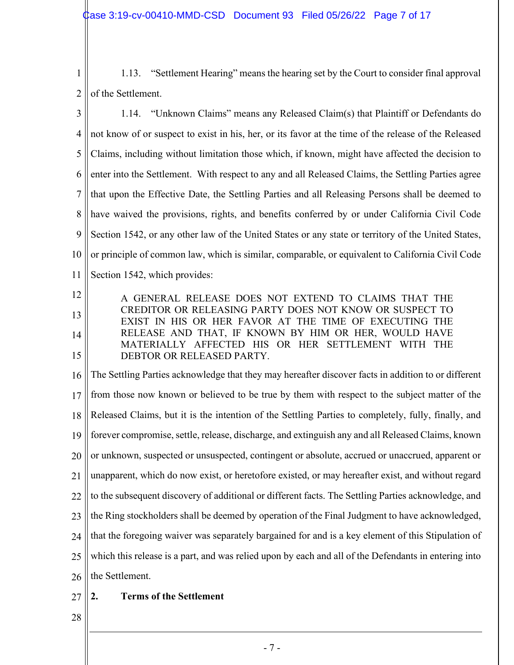1 2 1.13. "Settlement Hearing" means the hearing set by the Court to consider final approval of the Settlement.

3 4 5 6 7 8 9 10 11 1.14. "Unknown Claims" means any Released Claim(s) that Plaintiff or Defendants do not know of or suspect to exist in his, her, or its favor at the time of the release of the Released Claims, including without limitation those which, if known, might have affected the decision to enter into the Settlement. With respect to any and all Released Claims, the Settling Parties agree that upon the Effective Date, the Settling Parties and all Releasing Persons shall be deemed to have waived the provisions, rights, and benefits conferred by or under California Civil Code Section 1542, or any other law of the United States or any state or territory of the United States, or principle of common law, which is similar, comparable, or equivalent to California Civil Code Section 1542, which provides:

12 13 14 15 A GENERAL RELEASE DOES NOT EXTEND TO CLAIMS THAT THE CREDITOR OR RELEASING PARTY DOES NOT KNOW OR SUSPECT TO EXIST IN HIS OR HER FAVOR AT THE TIME OF EXECUTING THE RELEASE AND THAT, IF KNOWN BY HIM OR HER, WOULD HAVE MATERIALLY AFFECTED HIS OR HER SETTLEMENT WITH THE DEBTOR OR RELEASED PARTY.

16 17 18 19 20 21 22 23 24 25 26 The Settling Parties acknowledge that they may hereafter discover facts in addition to or different from those now known or believed to be true by them with respect to the subject matter of the Released Claims, but it is the intention of the Settling Parties to completely, fully, finally, and forever compromise, settle, release, discharge, and extinguish any and all Released Claims, known or unknown, suspected or unsuspected, contingent or absolute, accrued or unaccrued, apparent or unapparent, which do now exist, or heretofore existed, or may hereafter exist, and without regard to the subsequent discovery of additional or different facts. The Settling Parties acknowledge, and the Ring stockholders shall be deemed by operation of the Final Judgment to have acknowledged, that the foregoing waiver was separately bargained for and is a key element of this Stipulation of which this release is a part, and was relied upon by each and all of the Defendants in entering into the Settlement.

- 27 **2. Terms of the Settlement**
- 28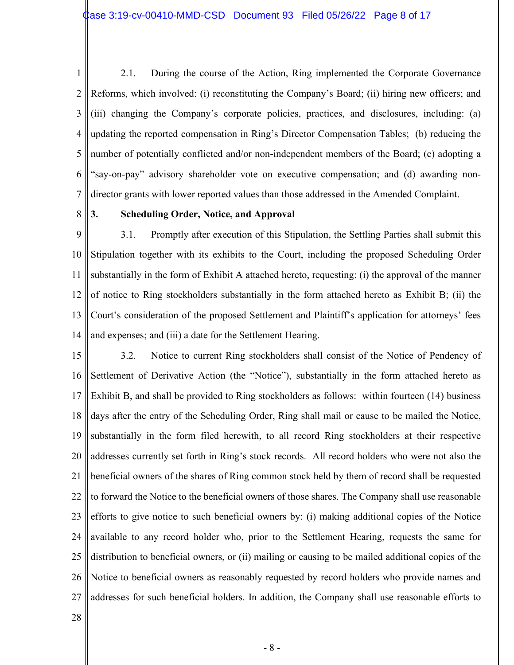1 2 3 4 5 6 7 2.1. During the course of the Action, Ring implemented the Corporate Governance Reforms, which involved: (i) reconstituting the Company's Board; (ii) hiring new officers; and (iii) changing the Company's corporate policies, practices, and disclosures, including: (a) updating the reported compensation in Ring's Director Compensation Tables; (b) reducing the number of potentially conflicted and/or non-independent members of the Board; (c) adopting a "say-on-pay" advisory shareholder vote on executive compensation; and (d) awarding nondirector grants with lower reported values than those addressed in the Amended Complaint.

8

## **3. Scheduling Order, Notice, and Approval**

9 10 11 12 13 14 3.1. Promptly after execution of this Stipulation, the Settling Parties shall submit this Stipulation together with its exhibits to the Court, including the proposed Scheduling Order substantially in the form of Exhibit A attached hereto, requesting: (i) the approval of the manner of notice to Ring stockholders substantially in the form attached hereto as Exhibit B; (ii) the Court's consideration of the proposed Settlement and Plaintiff's application for attorneys' fees and expenses; and (iii) a date for the Settlement Hearing.

15 16 17 18 19 20 21 22 23 24 25 26 27 3.2. Notice to current Ring stockholders shall consist of the Notice of Pendency of Settlement of Derivative Action (the "Notice"), substantially in the form attached hereto as Exhibit B, and shall be provided to Ring stockholders as follows: within fourteen (14) business days after the entry of the Scheduling Order, Ring shall mail or cause to be mailed the Notice, substantially in the form filed herewith, to all record Ring stockholders at their respective addresses currently set forth in Ring's stock records. All record holders who were not also the beneficial owners of the shares of Ring common stock held by them of record shall be requested to forward the Notice to the beneficial owners of those shares. The Company shall use reasonable efforts to give notice to such beneficial owners by: (i) making additional copies of the Notice available to any record holder who, prior to the Settlement Hearing, requests the same for distribution to beneficial owners, or (ii) mailing or causing to be mailed additional copies of the Notice to beneficial owners as reasonably requested by record holders who provide names and addresses for such beneficial holders. In addition, the Company shall use reasonable efforts to

28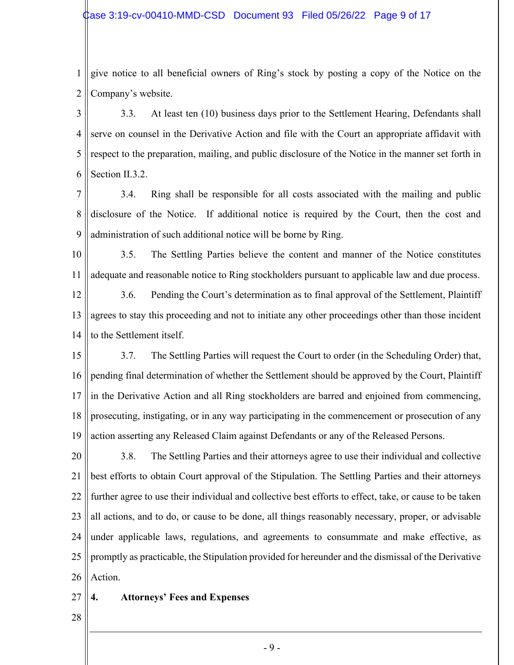1 2 give notice to all beneficial owners of Ring's stock by posting a copy of the Notice on the Company's website.

3 4 5 6 3.3. At least ten (10) business days prior to the Settlement Hearing, Defendants shall serve on counsel in the Derivative Action and file with the Court an appropriate affidavit with respect to the preparation, mailing, and public disclosure of the Notice in the manner set forth in Section II.3.2.

- 7 8 9 3.4. Ring shall be responsible for all costs associated with the mailing and public disclosure of the Notice. If additional notice is required by the Court, then the cost and administration of such additional notice will be borne by Ring.
- 10 11 3.5. The Settling Parties believe the content and manner of the Notice constitutes adequate and reasonable notice to Ring stockholders pursuant to applicable law and due process.

12 13 14 3.6. Pending the Court's determination as to final approval of the Settlement, Plaintiff agrees to stay this proceeding and not to initiate any other proceedings other than those incident to the Settlement itself.

15 16 17 18 19 3.7. The Settling Parties will request the Court to order (in the Scheduling Order) that, pending final determination of whether the Settlement should be approved by the Court, Plaintiff in the Derivative Action and all Ring stockholders are barred and enjoined from commencing, prosecuting, instigating, or in any way participating in the commencement or prosecution of any action asserting any Released Claim against Defendants or any of the Released Persons.

20 21 22 23 24 25 26 3.8. The Settling Parties and their attorneys agree to use their individual and collective best efforts to obtain Court approval of the Stipulation. The Settling Parties and their attorneys further agree to use their individual and collective best efforts to effect, take, or cause to be taken all actions, and to do, or cause to be done, all things reasonably necessary, proper, or advisable under applicable laws, regulations, and agreements to consummate and make effective, as promptly as practicable, the Stipulation provided for hereunder and the dismissal of the Derivative Action.

- 27 **4. Attorneys' Fees and Expenses**
- 28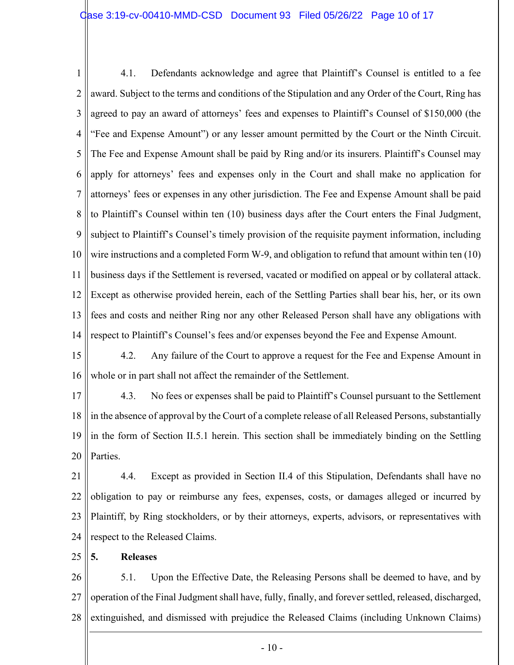1 2 3 4 5 6 7 8 9 10 11 12 13 14 4.1. Defendants acknowledge and agree that Plaintiff's Counsel is entitled to a fee award. Subject to the terms and conditions of the Stipulation and any Order of the Court, Ring has agreed to pay an award of attorneys' fees and expenses to Plaintiff's Counsel of \$150,000 (the "Fee and Expense Amount") or any lesser amount permitted by the Court or the Ninth Circuit. The Fee and Expense Amount shall be paid by Ring and/or its insurers. Plaintiff's Counsel may apply for attorneys' fees and expenses only in the Court and shall make no application for attorneys' fees or expenses in any other jurisdiction. The Fee and Expense Amount shall be paid to Plaintiff's Counsel within ten (10) business days after the Court enters the Final Judgment, subject to Plaintiff's Counsel's timely provision of the requisite payment information, including wire instructions and a completed Form W-9, and obligation to refund that amount within ten (10) business days if the Settlement is reversed, vacated or modified on appeal or by collateral attack. Except as otherwise provided herein, each of the Settling Parties shall bear his, her, or its own fees and costs and neither Ring nor any other Released Person shall have any obligations with respect to Plaintiff's Counsel's fees and/or expenses beyond the Fee and Expense Amount.

15 16 4.2. Any failure of the Court to approve a request for the Fee and Expense Amount in whole or in part shall not affect the remainder of the Settlement.

17 18 19 20 4.3. No fees or expenses shall be paid to Plaintiff's Counsel pursuant to the Settlement in the absence of approval by the Court of a complete release of all Released Persons, substantially in the form of Section II.5.1 herein. This section shall be immediately binding on the Settling Parties.

21 22 23 24 4.4. Except as provided in Section II.4 of this Stipulation, Defendants shall have no obligation to pay or reimburse any fees, expenses, costs, or damages alleged or incurred by Plaintiff, by Ring stockholders, or by their attorneys, experts, advisors, or representatives with respect to the Released Claims.

#### 25 **5. Releases**

26 27 28 5.1. Upon the Effective Date, the Releasing Persons shall be deemed to have, and by operation of the Final Judgment shall have, fully, finally, and forever settled, released, discharged, extinguished, and dismissed with prejudice the Released Claims (including Unknown Claims)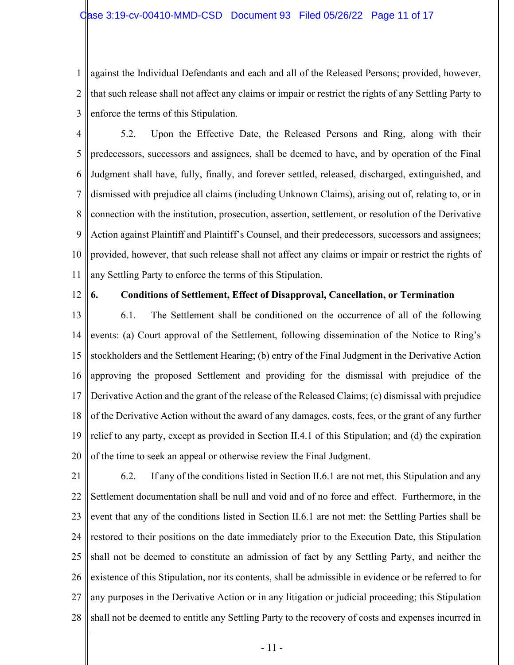1 2 3 against the Individual Defendants and each and all of the Released Persons; provided, however, that such release shall not affect any claims or impair or restrict the rights of any Settling Party to enforce the terms of this Stipulation.

4 5 6 7 8 9 10 11 5.2. Upon the Effective Date, the Released Persons and Ring, along with their predecessors, successors and assignees, shall be deemed to have, and by operation of the Final Judgment shall have, fully, finally, and forever settled, released, discharged, extinguished, and dismissed with prejudice all claims (including Unknown Claims), arising out of, relating to, or in connection with the institution, prosecution, assertion, settlement, or resolution of the Derivative Action against Plaintiff and Plaintiff's Counsel, and their predecessors, successors and assignees; provided, however, that such release shall not affect any claims or impair or restrict the rights of any Settling Party to enforce the terms of this Stipulation.

12

## **6. Conditions of Settlement, Effect of Disapproval, Cancellation, or Termination**

13 14 15 16 17 18 19 20 6.1. The Settlement shall be conditioned on the occurrence of all of the following events: (a) Court approval of the Settlement, following dissemination of the Notice to Ring's stockholders and the Settlement Hearing; (b) entry of the Final Judgment in the Derivative Action approving the proposed Settlement and providing for the dismissal with prejudice of the Derivative Action and the grant of the release of the Released Claims; (c) dismissal with prejudice of the Derivative Action without the award of any damages, costs, fees, or the grant of any further relief to any party, except as provided in Section II.4.1 of this Stipulation; and (d) the expiration of the time to seek an appeal or otherwise review the Final Judgment.

21 22 23 24 25 26 27 28 6.2. If any of the conditions listed in Section II.6.1 are not met, this Stipulation and any Settlement documentation shall be null and void and of no force and effect. Furthermore, in the event that any of the conditions listed in Section II.6.1 are not met: the Settling Parties shall be restored to their positions on the date immediately prior to the Execution Date, this Stipulation shall not be deemed to constitute an admission of fact by any Settling Party, and neither the existence of this Stipulation, nor its contents, shall be admissible in evidence or be referred to for any purposes in the Derivative Action or in any litigation or judicial proceeding; this Stipulation shall not be deemed to entitle any Settling Party to the recovery of costs and expenses incurred in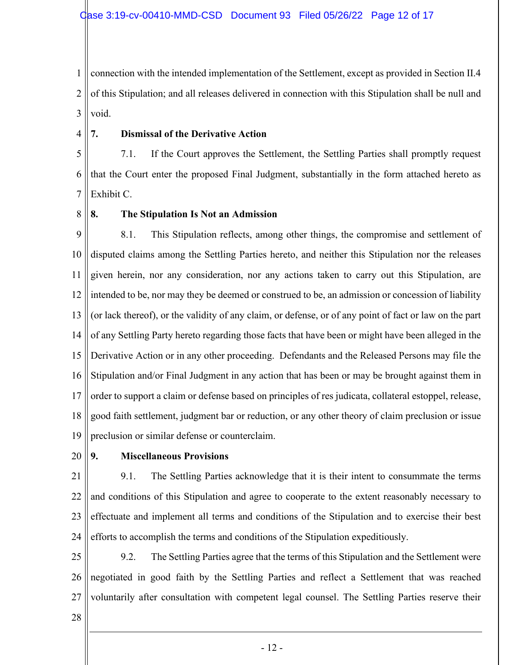1 2 3 connection with the intended implementation of the Settlement, except as provided in Section II.4 of this Stipulation; and all releases delivered in connection with this Stipulation shall be null and void.

#### 4 **7. Dismissal of the Derivative Action**

5 6 7 7.1. If the Court approves the Settlement, the Settling Parties shall promptly request that the Court enter the proposed Final Judgment, substantially in the form attached hereto as Exhibit C.

8

## **8. The Stipulation Is Not an Admission**

9 10 11 12 13 14 15 16 17 18 19 8.1. This Stipulation reflects, among other things, the compromise and settlement of disputed claims among the Settling Parties hereto, and neither this Stipulation nor the releases given herein, nor any consideration, nor any actions taken to carry out this Stipulation, are intended to be, nor may they be deemed or construed to be, an admission or concession of liability (or lack thereof), or the validity of any claim, or defense, or of any point of fact or law on the part of any Settling Party hereto regarding those facts that have been or might have been alleged in the Derivative Action or in any other proceeding. Defendants and the Released Persons may file the Stipulation and/or Final Judgment in any action that has been or may be brought against them in order to support a claim or defense based on principles of res judicata, collateral estoppel, release, good faith settlement, judgment bar or reduction, or any other theory of claim preclusion or issue preclusion or similar defense or counterclaim.

20

## **9. Miscellaneous Provisions**

21 22 23 24 9.1. The Settling Parties acknowledge that it is their intent to consummate the terms and conditions of this Stipulation and agree to cooperate to the extent reasonably necessary to effectuate and implement all terms and conditions of the Stipulation and to exercise their best efforts to accomplish the terms and conditions of the Stipulation expeditiously.

25 26 27 9.2. The Settling Parties agree that the terms of this Stipulation and the Settlement were negotiated in good faith by the Settling Parties and reflect a Settlement that was reached voluntarily after consultation with competent legal counsel. The Settling Parties reserve their

28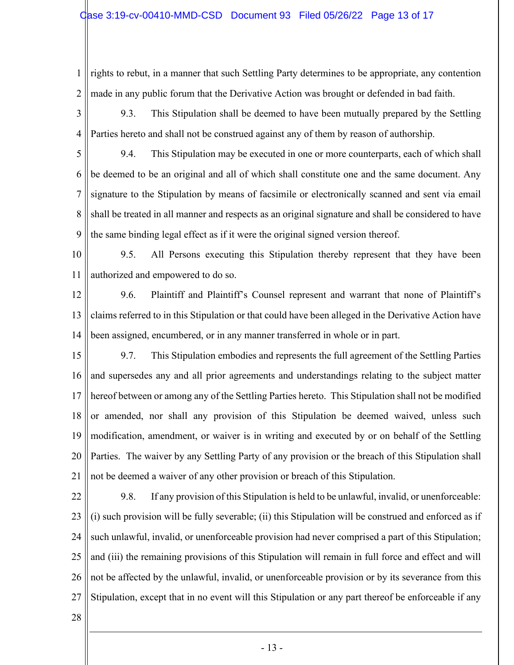1 2 rights to rebut, in a manner that such Settling Party determines to be appropriate, any contention made in any public forum that the Derivative Action was brought or defended in bad faith.

3 4 9.3. This Stipulation shall be deemed to have been mutually prepared by the Settling Parties hereto and shall not be construed against any of them by reason of authorship.

5 6 7 8 9 9.4. This Stipulation may be executed in one or more counterparts, each of which shall be deemed to be an original and all of which shall constitute one and the same document. Any signature to the Stipulation by means of facsimile or electronically scanned and sent via email shall be treated in all manner and respects as an original signature and shall be considered to have the same binding legal effect as if it were the original signed version thereof.

10 11 9.5. All Persons executing this Stipulation thereby represent that they have been authorized and empowered to do so.

- 12 13 14 9.6. Plaintiff and Plaintiff's Counsel represent and warrant that none of Plaintiff's claims referred to in this Stipulation or that could have been alleged in the Derivative Action have been assigned, encumbered, or in any manner transferred in whole or in part.
- 15 16 17 18 19 20 21 9.7. This Stipulation embodies and represents the full agreement of the Settling Parties and supersedes any and all prior agreements and understandings relating to the subject matter hereof between or among any of the Settling Parties hereto. This Stipulation shall not be modified or amended, nor shall any provision of this Stipulation be deemed waived, unless such modification, amendment, or waiver is in writing and executed by or on behalf of the Settling Parties. The waiver by any Settling Party of any provision or the breach of this Stipulation shall not be deemed a waiver of any other provision or breach of this Stipulation.
- 22 23 24 25 26 27 9.8. If any provision of this Stipulation is held to be unlawful, invalid, or unenforceable: (i) such provision will be fully severable; (ii) this Stipulation will be construed and enforced as if such unlawful, invalid, or unenforceable provision had never comprised a part of this Stipulation; and (iii) the remaining provisions of this Stipulation will remain in full force and effect and will not be affected by the unlawful, invalid, or unenforceable provision or by its severance from this Stipulation, except that in no event will this Stipulation or any part thereof be enforceable if any

28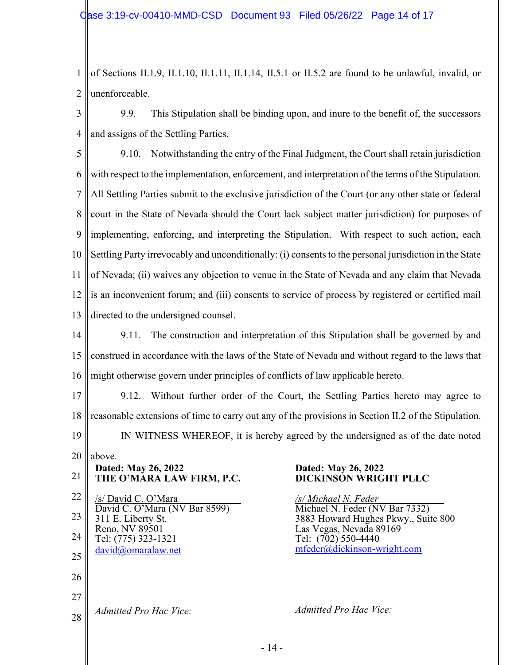1 2 of Sections II.1.9, II.1.10, II.1.11, II.1.14, II.5.1 or II.5.2 are found to be unlawful, invalid, or unenforceable.

3 4 9.9. This Stipulation shall be binding upon, and inure to the benefit of, the successors and assigns of the Settling Parties.

5 6 7 8 9 10 11 12 13 9.10. Notwithstanding the entry of the Final Judgment, the Court shall retain jurisdiction with respect to the implementation, enforcement, and interpretation of the terms of the Stipulation. All Settling Parties submit to the exclusive jurisdiction of the Court (or any other state or federal court in the State of Nevada should the Court lack subject matter jurisdiction) for purposes of implementing, enforcing, and interpreting the Stipulation. With respect to such action, each Settling Party irrevocably and unconditionally: (i) consents to the personal jurisdiction in the State of Nevada; (ii) waives any objection to venue in the State of Nevada and any claim that Nevada is an inconvenient forum; and (iii) consents to service of process by registered or certified mail directed to the undersigned counsel.

14 15 16 9.11. The construction and interpretation of this Stipulation shall be governed by and construed in accordance with the laws of the State of Nevada and without regard to the laws that might otherwise govern under principles of conflicts of law applicable hereto.

17 18 19 9.12. Without further order of the Court, the Settling Parties hereto may agree to reasonable extensions of time to carry out any of the provisions in Section II.2 of the Stipulation. IN WITNESS WHEREOF, it is hereby agreed by the undersigned as of the date noted

20 21 22 23 24 25 26 27 28 above. **Dated: May 26, 2022 THE O'MARA LAW FIRM, P.C.** /s/ David C. O'Mara \_\_\_\_\_\_\_\_\_\_\_\_ David C. O'Mara (NV Bar 8599) 311 E. Liberty St. Reno, NV 89501 Tel: (775) 323-1321 [david@omaralaw.net](mailto:david@omaralaw.net)  *Admitted Pro Hac Vice:*  **Dated: May 26, 2022** Tel: (702) 550-4440

# **DICKINSON WRIGHT PLLC**

*/s/ Michael N. Feder*\_\_\_\_\_\_\_\_\_\_\_\_\_ Michael N. Feder (NV Bar 7332) 3883 Howard Hughes Pkwy., Suite 800 Las Vegas, Nevada 89169 [mfeder@dickinson-wright.com](mailto:mfeder@dickinson-wright.com)

*Admitted Pro Hac Vice:*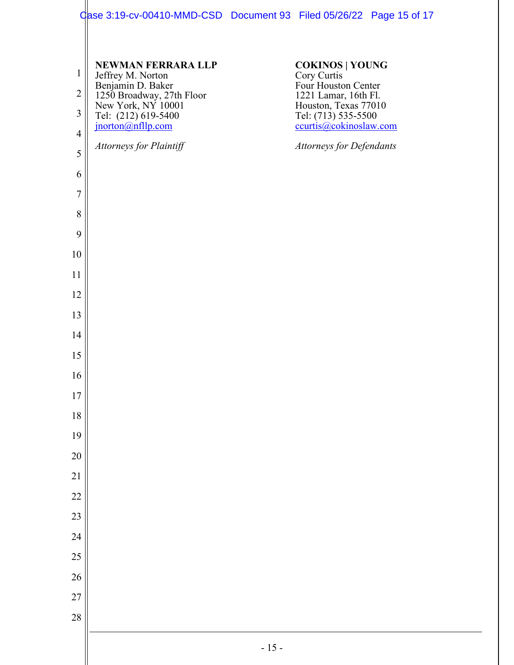## Case 3:19-cv-00410-MMD-CSD Document 93 Filed 05/26/22 Page 15 of 17

 $\mathbb{I}$ 

| $\mathbf{1}$   | <b>NEWMAN FERRARA LLP</b>                                                                                                             | <b>COKINOS   YOUNG</b>                                                |  |
|----------------|---------------------------------------------------------------------------------------------------------------------------------------|-----------------------------------------------------------------------|--|
| $\sqrt{2}$     | Jeffrey M. Norton<br>Benjamin D. Baker<br>1250 Broadway, 27th Floor<br>New York, NY 10001<br>Tel: (212) 619-5400<br>jnorton@nfllp.com | Cory Curtis<br>Four Houston Center<br>1221 Lamar, 16th Fl.            |  |
| $\overline{3}$ |                                                                                                                                       | Houston, Texas 77010<br>Tel: (713) 535-5500<br>ccurtis@cokinoslaw.com |  |
| $\overline{4}$ |                                                                                                                                       |                                                                       |  |
| 5              | Attorneys for Plaintiff                                                                                                               | <b>Attorneys for Defendants</b>                                       |  |
| 6              |                                                                                                                                       |                                                                       |  |
| $\overline{7}$ |                                                                                                                                       |                                                                       |  |
| 8              |                                                                                                                                       |                                                                       |  |
| 9              |                                                                                                                                       |                                                                       |  |
| 10             |                                                                                                                                       |                                                                       |  |
| 11             |                                                                                                                                       |                                                                       |  |
| 12             |                                                                                                                                       |                                                                       |  |
| 13             |                                                                                                                                       |                                                                       |  |
| 14             |                                                                                                                                       |                                                                       |  |
| 15             |                                                                                                                                       |                                                                       |  |
| 16             |                                                                                                                                       |                                                                       |  |
| 17             |                                                                                                                                       |                                                                       |  |
| 18             |                                                                                                                                       |                                                                       |  |
| 19             |                                                                                                                                       |                                                                       |  |
| 20             |                                                                                                                                       |                                                                       |  |
| 21             |                                                                                                                                       |                                                                       |  |
| 22             |                                                                                                                                       |                                                                       |  |
| 23             |                                                                                                                                       |                                                                       |  |
| 24             |                                                                                                                                       |                                                                       |  |
| 25             |                                                                                                                                       |                                                                       |  |
| 26<br>27       |                                                                                                                                       |                                                                       |  |
| 28             |                                                                                                                                       |                                                                       |  |
|                |                                                                                                                                       |                                                                       |  |
|                |                                                                                                                                       | $-15-$                                                                |  |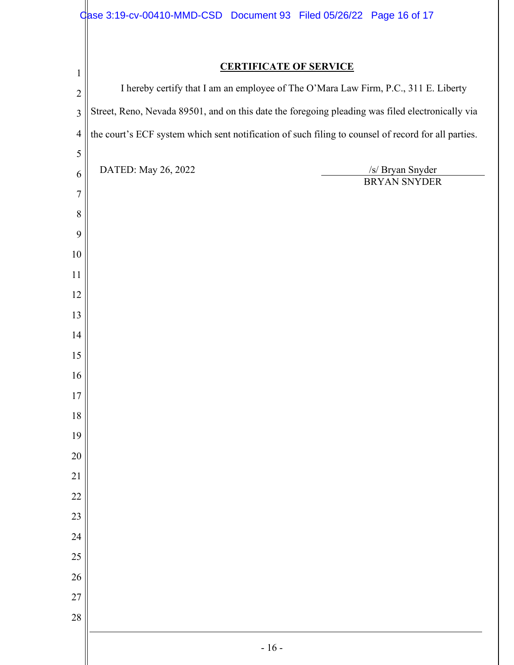|                | Case 3:19-cv-00410-MMD-CSD Document 93 Filed 05/26/22 Page 16 of 17                                 |  |  |  |  |
|----------------|-----------------------------------------------------------------------------------------------------|--|--|--|--|
|                |                                                                                                     |  |  |  |  |
| $\mathbf{1}$   | <b>CERTIFICATE OF SERVICE</b>                                                                       |  |  |  |  |
| $\overline{2}$ | I hereby certify that I am an employee of The O'Mara Law Firm, P.C., 311 E. Liberty                 |  |  |  |  |
| $\mathfrak{Z}$ | Street, Reno, Nevada 89501, and on this date the foregoing pleading was filed electronically via    |  |  |  |  |
| $\overline{4}$ | the court's ECF system which sent notification of such filing to counsel of record for all parties. |  |  |  |  |
| 5              | DATED: May 26, 2022<br>/s/ Bryan Snyder                                                             |  |  |  |  |
| 6              | BRYAN SNYDER                                                                                        |  |  |  |  |
| $\overline{7}$ |                                                                                                     |  |  |  |  |
| 8              |                                                                                                     |  |  |  |  |
| 9              |                                                                                                     |  |  |  |  |
| 10<br>11       |                                                                                                     |  |  |  |  |
| 12             |                                                                                                     |  |  |  |  |
| 13             |                                                                                                     |  |  |  |  |
| 14             |                                                                                                     |  |  |  |  |
| 15             |                                                                                                     |  |  |  |  |
| 16             |                                                                                                     |  |  |  |  |
| 17             |                                                                                                     |  |  |  |  |
| 18             |                                                                                                     |  |  |  |  |
| 19             |                                                                                                     |  |  |  |  |
| 20             |                                                                                                     |  |  |  |  |
| $21$           |                                                                                                     |  |  |  |  |
| 22             |                                                                                                     |  |  |  |  |
| 23             |                                                                                                     |  |  |  |  |
| 24             |                                                                                                     |  |  |  |  |
| 25             |                                                                                                     |  |  |  |  |
| 26             |                                                                                                     |  |  |  |  |
| 27             |                                                                                                     |  |  |  |  |
| 28             |                                                                                                     |  |  |  |  |
|                | $-16-$                                                                                              |  |  |  |  |